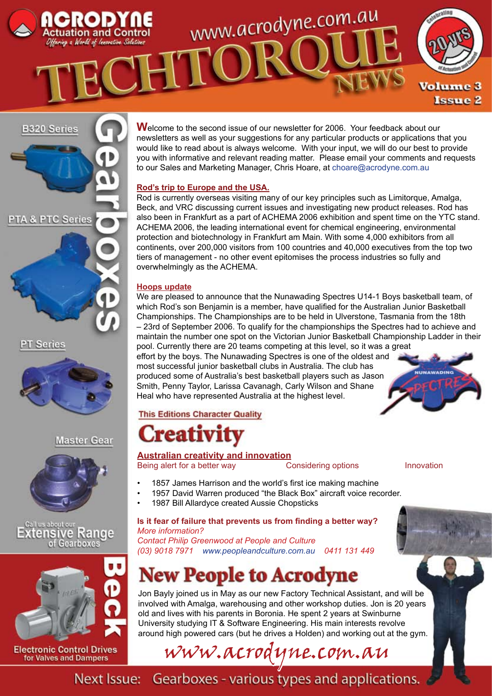



**PT Series** 



## **Master Gear**







for Valves and Dampers

**W**elcome to the second issue of our newsletter for 2006. Your feedback about our newsletters as well as your suggestions for any particular products or applications that you would like to read about is always welcome. With your input, we will do our best to provide you with informative and relevant reading matter. Please email your comments and requests to our Sales and Marketing Manager, Chris Hoare, at choare@acrodyne.com.au

## **Rod's trip to Europe and the USA.**

Rod is currently overseas visiting many of our key principles such as Limitorque, Amalga, Beck, and VRC discussing current issues and investigating new product releases. Rod has also been in Frankfurt as a part of ACHEMA 2006 exhibition and spent time on the YTC stand. ACHEMA 2006, the leading international event for chemical engineering, environmental protection and biotechnology in Frankfurt am Main. With some 4,000 exhibitors from all continents, over 200,000 visitors from 100 countries and 40,000 executives from the top two tiers of management - no other event epitomises the process industries so fully and overwhelmingly as the ACHEMA.

### **Hoops update**

We are pleased to announce that the Nunawading Spectres U14-1 Boys basketball team, of which Rod's son Benjamin is a member, have qualified for the Australian Junior Basketball Championships. The Championships are to be held in Ulverstone, Tasmania from the 18th – 23rd of September 2006. To qualify for the championships the Spectres had to achieve and maintain the number one spot on the Victorian Junior Basketball Championship Ladder in their pool. Currently there are 20 teams competing at this level, so it was a great effort by the boys. The Nunawading Spectres is one of the oldest and most successful junior basketball clubs in Australia. The club has NUNAWADING

produced some of Australia's best basketball players such as Jason Smith, Penny Taylor, Larissa Cavanagh, Carly Wilson and Shane Heal who have represented Australia at the highest level.

## **This Editions Character Quality**

## reativ

**Australian creativity and innovation** Being alert for a better way **Considering options** Innovation

- 1857 James Harrison and the world's first ice making machine
- 1957 David Warren produced "the Black Box" aircraft voice recorder.
- 1987 Bill Allardyce created Aussie Chopsticks

#### **Is it fear of failure that prevents us from finding a better way?** *More information?*

*Contact Philip Greenwood at People and Culture (03) 9018 7971 www.peopleandculture.com.au 0411 131 449*

## **New People to Acrodyne**

Jon Bayly joined us in May as our new Factory Technical Assistant, and will be involved with Amalga, warehousing and other workshop duties. Jon is 20 years old and lives with his parents in Boronia. He spent 2 years at Swinburne University studying IT & Software Engineering. His main interests revolve around high powered cars (but he drives a Holden) and working out at the gym.

www.acrodyne.com.au

Next Issue: Gearboxes - various types and applications.